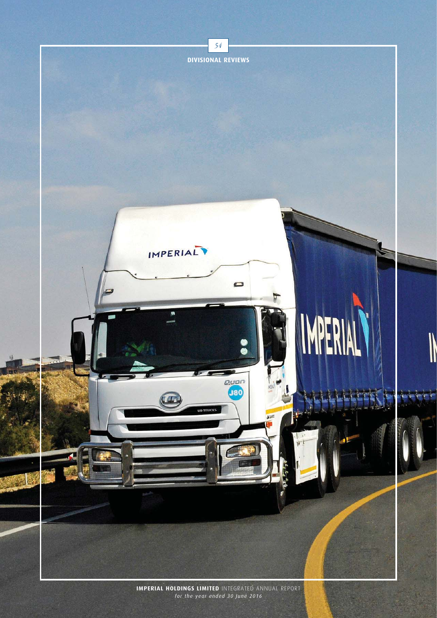

*for the year ended 30 June 2016*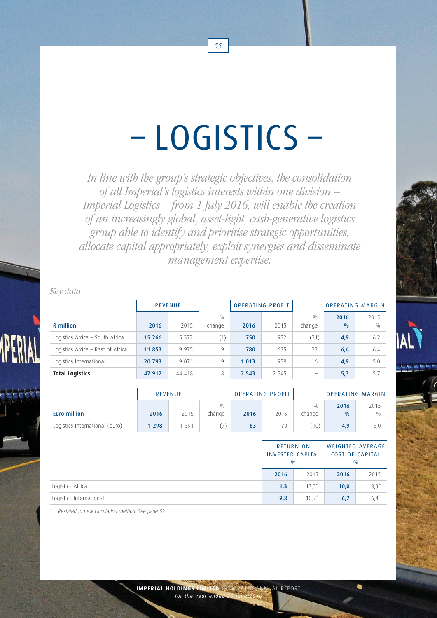# – LOGISTICS –

In line with the group's strategic objectives, the consolidation of all Imperial's logistics interests within one division – Imperial Logistics – from 1 July 2016, will enable the creation of an increasingly global, asset-light, cash-generative logistics group able to identify and prioritise strategic opportunities, allocate capital appropriately, exploit synergies and disseminate management expertise.

Key data

|                                   | <b>REVENUE</b> |         |               | <b>OPERATING PROFIT</b> |         |                          | <b>OPERATING MARGIN</b> |             |
|-----------------------------------|----------------|---------|---------------|-------------------------|---------|--------------------------|-------------------------|-------------|
| R million                         | 2016           | 2015    | 0/0<br>change | 2016                    | 2015    | 0/0<br>change            | 2016<br>0/0             | 2015<br>0/0 |
| Logistics Africa - South Africa   | 15 26 6        | 15 372  | (1)           | 750                     | 952     | (21)                     | 4,9                     | 6,2         |
| Logistics Africa - Rest of Africa | 11 853         | 9 9 7 5 | 19            | 780                     | 635     | 23                       | 6,6                     | 6,4         |
| Logistics International           | 20 793         | 19 071  | 9             | 1 0 1 3                 | 958     | 6                        | 4,9                     | 5,0         |
| <b>Total Logistics</b>            | 47 912         | 44 418  | 8             | 2 5 4 3                 | 2 5 4 5 | $\overline{\phantom{a}}$ | 5,3                     | 5,7         |

|                                | <b>REVENUE</b> |      |        | <b>OPERATING PROFIT</b> |      |                | OPERATING MARGIN |      |
|--------------------------------|----------------|------|--------|-------------------------|------|----------------|------------------|------|
|                                |                |      | 0/0    |                         |      | 0/0            | 2016             | 2015 |
| Euro million                   | 2016           | 2015 | change | 2016                    | 2015 | change         | $\frac{0}{0}$    | 0/0  |
| Logistics International (euro) | 1 2 9 8        | 391  |        | 63                      | 70   | $^{\prime}10)$ | 4,9              | 5,0  |

|                         |      | $\frac{0}{0}$ | <b>RETURN ON</b><br><b>INVESTED CAPITAL</b> | <b>COST OF CAPITAL</b><br>$\frac{0}{0}$ | WEIGHTED AVERAGE |
|-------------------------|------|---------------|---------------------------------------------|-----------------------------------------|------------------|
|                         | 2016 |               | 2015                                        | 2016                                    | 2015             |
| Logistics Africa        |      | 11,3          | $13.3*$                                     | 10,0                                    | $8,3*$           |
| Logistics International |      | 9,8           | $10.7*$                                     | 6,7                                     | $6,4^{*}$        |

Restated to new calculation method. See page 52.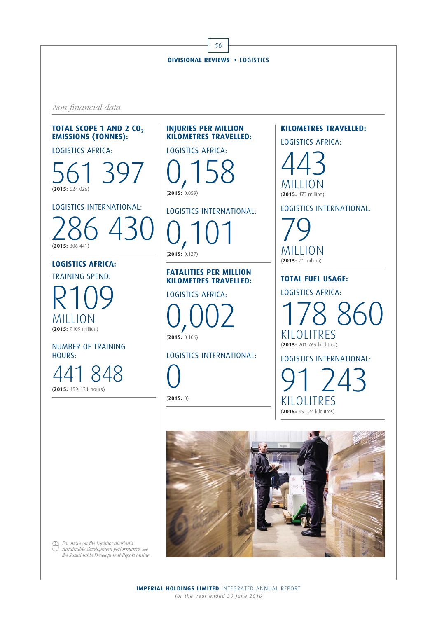Non-financial data

# **TOTAL SCOPE 1 AND 2 CO<sub>2</sub> EMISSIONS (TONNES):**

LOGISTICS AFRICA:

561 397 (**2015:** 624 026)

LOGISTICS INTERNATIONAL:

286 430 (**2015:** 306 441)

# **LOGISTICS AFRICA:**

TRAINING SPEND: R109 MILLION (**2015:** R109 million)

NUMBER OF TRAINING HOURS:

848 (**2015:** 459 121 hours)

## **INJURIES PER MILLION KILOMETRES TRAVELLED:**

LOGISTICS AFRICA:

0,158 (**2015:** 0,059)

# LOGISTICS INTERNATIONAL:

0,101

(**2015:** 0,127)

**FATALITIES PER MILLION KILOMETRES TRAVELLED:** 

LOGISTICS AFRICA:

0,002 (**2015:** 0,106)

LOGISTICS INTERNATIONAL:

0 (**2015:** 0) **KILOMETRES TRAVELLED:** 

LOGISTICS AFRICA:

443 MILLION (**2015:** 473 million)

LOGISTICS INTERNATIONAL:

79 MILLION (**2015:** 71 million)

**TOTAL FUEL USAGE:** 

LOGISTICS AFRICA:

178 860 KILOLITRES (**2015:** 201 766 kilolitres)

LOGISTICS INTERNATIONAL:

 $743$ KILOLITRES (**2015:** 95 124 kilolitres)



For more on the Logistics division's  $\circled{f}$ sustainable development performance, see the Sustainable Development Report online.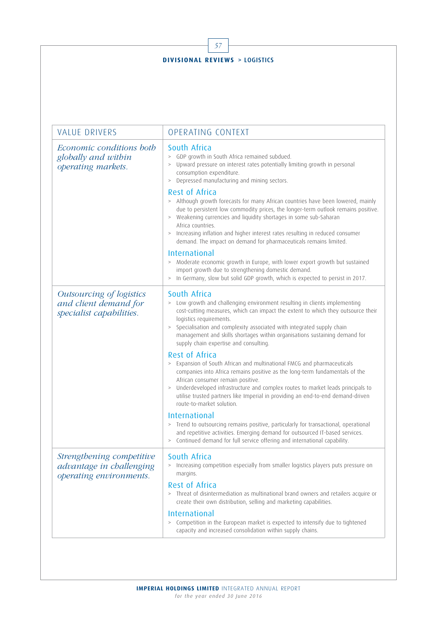| <b>DIVISIONAL REVIEWS &gt; LOGISTICS</b>                                         |                                                                                                                                                                                                                                                                                                                                                                                                                                 |  |  |  |
|----------------------------------------------------------------------------------|---------------------------------------------------------------------------------------------------------------------------------------------------------------------------------------------------------------------------------------------------------------------------------------------------------------------------------------------------------------------------------------------------------------------------------|--|--|--|
|                                                                                  |                                                                                                                                                                                                                                                                                                                                                                                                                                 |  |  |  |
| <b>VALUE DRIVERS</b>                                                             | OPERATING CONTEXT                                                                                                                                                                                                                                                                                                                                                                                                               |  |  |  |
| Economic conditions both<br>globally and within<br>operating markets.            | South Africa<br>> GDP growth in South Africa remained subdued.<br>Upward pressure on interest rates potentially limiting growth in personal<br>$\, >$<br>consumption expenditure.<br>Depressed manufacturing and mining sectors.<br>$\, >$<br>Rest of Africa                                                                                                                                                                    |  |  |  |
|                                                                                  | > Although growth forecasts for many African countries have been lowered, mainly<br>due to persistent low commodity prices, the longer-term outlook remains positive.<br>> Weakening currencies and liquidity shortages in some sub-Saharan<br>Africa countries.<br>Increasing inflation and higher interest rates resulting in reduced consumer<br>$\, >$<br>demand. The impact on demand for pharmaceuticals remains limited. |  |  |  |
|                                                                                  | <b>International</b><br>> Moderate economic growth in Europe, with lower export growth but sustained<br>import growth due to strengthening domestic demand.<br>In Germany, slow but solid GDP growth, which is expected to persist in 2017.<br>$\, >$                                                                                                                                                                           |  |  |  |
| Outsourcing of logistics<br>and client demand for<br>specialist capabilities.    | South Africa<br>> Low growth and challenging environment resulting in clients implementing<br>cost-cutting measures, which can impact the extent to which they outsource their<br>logistics requirements.<br>Specialisation and complexity associated with integrated supply chain<br>$\, >$<br>management and skills shortages within organisations sustaining demand for<br>supply chain expertise and consulting.            |  |  |  |
|                                                                                  | Rest of Africa<br>> Expansion of South African and multinational FMCG and pharmaceuticals<br>companies into Africa remains positive as the long-term fundamentals of the<br>African consumer remain positive.<br>Underdeveloped infrastructure and complex routes to market leads principals to<br>$\, >$<br>utilise trusted partners like Imperial in providing an end-to-end demand-driven<br>route-to-market solution.       |  |  |  |
|                                                                                  | <b>International</b><br>> Trend to outsourcing remains positive, particularly for transactional, operational<br>and repetitive activities. Emerging demand for outsourced IT-based services.<br>Continued demand for full service offering and international capability.<br>$\, >$                                                                                                                                              |  |  |  |
| Strengthening competitive<br>advantage in challenging<br>operating environments. | South Africa<br>> Increasing competition especially from smaller logistics players puts pressure on<br>margins.                                                                                                                                                                                                                                                                                                                 |  |  |  |
|                                                                                  | <b>Rest of Africa</b><br>> Threat of disintermediation as multinational brand owners and retailers acquire or<br>create their own distribution, selling and marketing capabilities.                                                                                                                                                                                                                                             |  |  |  |
|                                                                                  | <b>International</b><br>Competition in the European market is expected to intensify due to tightened<br>$\, >$<br>capacity and increased consolidation within supply chains.                                                                                                                                                                                                                                                    |  |  |  |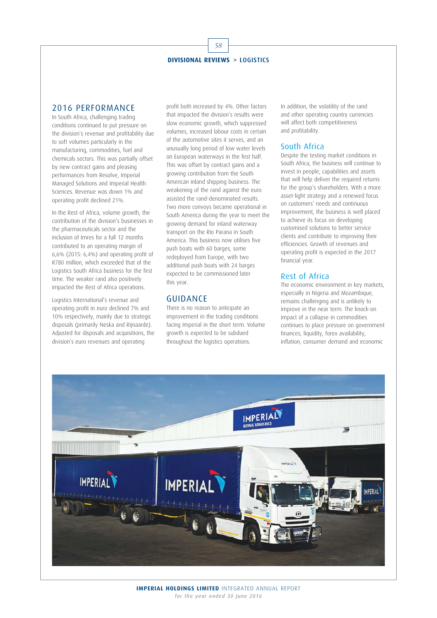#### 2016 PERFORMANCE

In South Africa, challenging trading conditions continued to put pressure on the division's revenue and profitability due to soft volumes particularly in the manufacturing, commodities, fuel and chemicals sectors. This was partially offset by new contract gains and pleasing performances from Resolve, Imperial Managed Solutions and Imperial Health Sciences. Revenue was down 1% and operating profit declined 21%.

In the Rest of Africa, volume growth, the contribution of the division's businesses in the pharmaceuticals sector and the inclusion of Imres for a full 12 months contributed to an operating margin of 6,6% (2015: 6,4%) and operating profit of R780 million, which exceeded that of the Logistics South Africa business for the first time. The weaker rand also positively impacted the Rest of Africa operations.

Logistics International's revenue and operating profit in euro declined 7% and 10% respectively, mainly due to strategic disposals (primarily Neska and Rijnaarde). Adjusted for disposals and acquisitions, the division's euro revenues and operating

profit both increased by 4%. Other factors that impacted the division's results were slow economic growth, which suppressed volumes, increased labour costs in certain of the automotive sites it serves, and an unusually long period of low water levels on European waterways in the first half. This was offset by contract gains and a growing contribution from the South American inland shipping business. The weakening of the rand against the euro assisted the rand-denominated results. Two more convoys became operational in South America during the year to meet the growing demand for inland waterway transport on the Rio Parana in South America. This business now utilises five push boats with 60 barges, some redeployed from Europe, with two additional push boats with 24 barges expected to be commissioned later this year.

## GUIDANCE

There is no reason to anticipate an improvement in the trading conditions facing Imperial in the short term. Volume growth is expected to be subdued throughout the logistics operations.

In addition, the volatility of the rand and other operating country currencies will affect both competitiveness and profitability.

## South Africa

Despite the testing market conditions in South Africa, the business will continue to invest in people, capabilities and assets that will help deliver the required returns for the group's shareholders. With a more asset-light strategy and a renewed focus on customers' needs and continuous improvement, the business is well placed to achieve its focus on developing customised solutions to better service clients and contribute to improving their efficiencies. Growth of revenues and operating profit is expected in the 2017 financial year.

# Rest of Africa

The economic environment in key markets, especially in Nigeria and Mozambique, remains challenging and is unlikely to improve in the near term. The knock-on impact of a collapse in commodities continues to place pressure on government finances, liquidity, forex availability, inflation, consumer demand and economic

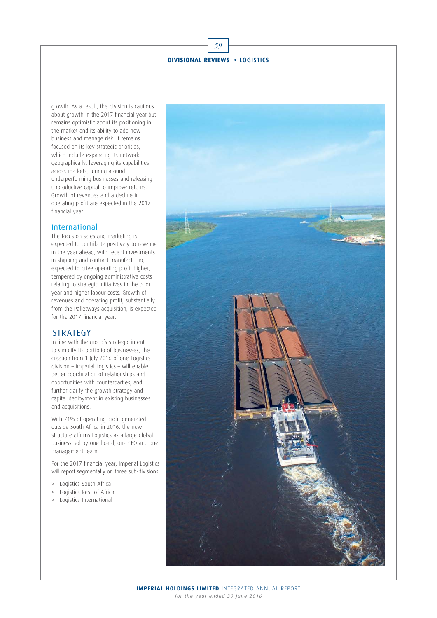growth. As a result, the division is cautious about growth in the 2017 financial year but remains optimistic about its positioning in the market and its ability to add new business and manage risk. It remains focused on its key strategic priorities, which include expanding its network geographically, leveraging its capabilities across markets, turning around underperforming businesses and releasing unproductive capital to improve returns. Growth of revenues and a decline in operating profit are expected in the 2017 financial year.

#### International

The focus on sales and marketing is expected to contribute positively to revenue in the year ahead, with recent investments in shipping and contract manufacturing expected to drive operating profit higher, tempered by ongoing administrative costs relating to strategic initiatives in the prior year and higher labour costs. Growth of revenues and operating profit, substantially from the Palletways acquisition, is expected for the 2017 financial year.

### **STRATEGY**

In line with the group's strategic intent to simplify its portfolio of businesses, the creation from 1 July 2016 of one Logistics division – Imperial Logistics – will enable better coordination of relationships and opportunities with counterparties, and further clarify the growth strategy and capital deployment in existing businesses and acquisitions.

With 71% of operating profit generated outside South Africa in 2016, the new structure affirms Logistics as a large global business led by one board, one CEO and one management team.

For the 2017 financial year, Imperial Logistics will report segmentally on three sub-divisions:

- > Logistics South Africa
- > Logistics Rest of Africa
- > Logistics International

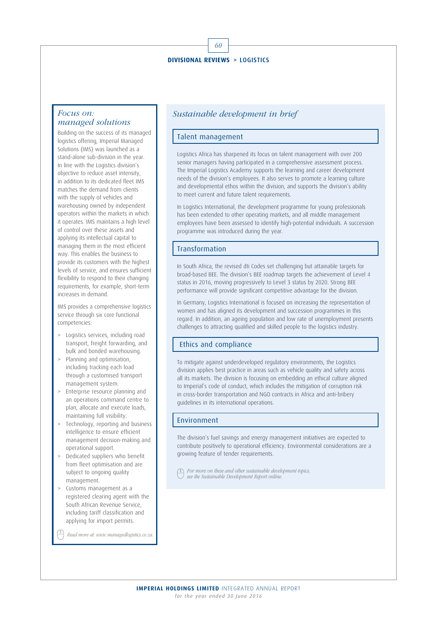60

#### Focus on: managed solutions

Building on the success of its managed logistics offering, Imperial Managed Solutions (IMS) was launched as a stand-alone sub-division in the year. In line with the Logistics division's objective to reduce asset intensity, in addition to its dedicated fleet IMS matches the demand from clients with the supply of vehicles and warehousing owned by independent operators within the markets in which it operates. IMS maintains a high level of control over these assets and applying its intellectual capital to managing them in the most efficient way. This enables the business to provide its customers with the highest levels of service, and ensures sufficient flexibility to respond to their changing requirements, for example, short-term increases in demand.

IMS provides a comprehensive logistics service through six core functional competencies:

- > Logistics services, including road transport, freight forwarding, and bulk and bonded warehousing.
- > Planning and optimisation, including tracking each load through a customised transport management system.
- > Enterprise resource planning and an operations command centre to plan, allocate and execute loads, maintaining full visibility.
- > Technology, reporting and business intelligence to ensure efficient management decision-making and operational support.
- Dedicated suppliers who benefit from fleet optimisation and are subject to ongoing quality management.
- Customs management as a registered clearing agent with the South African Revenue Service, including tariff classification and applying for import permits.

Read more at: www.managedlogistics.co.za.

## Sustainable development in brief

#### Talent management

Logistics Africa has sharpened its focus on talent management with over 200 senior managers having participated in a comprehensive assessment process. The Imperial Logistics Academy supports the learning and career development needs of the division's employees. It also serves to promote a learning culture and developmental ethos within the division, and supports the division's ability to meet current and future talent requirements.

In Logistics International, the development programme for young professionals has been extended to other operating markets, and all middle management employees have been assessed to identify high-potential individuals. A succession programme was introduced during the year.

#### Transformation

In South Africa, the revised dti Codes set challenging but attainable targets for broad-based BEE. The division's BEE roadmap targets the achievement of Level 4 status in 2016, moving progressively to Level 3 status by 2020. Strong BEE performance will provide significant competitive advantage for the division.

In Germany, Logistics International is focused on increasing the representation of women and has aligned its development and succession programmes in this regard. In addition, an ageing population and low rate of unemployment presents challenges to attracting qualified and skilled people to the logistics industry.

### Ethics and compliance

To mitigate against underdeveloped regulatory environments, the Logistics division applies best practice in areas such as vehicle quality and safety across all its markets. The division is focusing on embedding an ethical culture aligned to Imperial's code of conduct, which includes the mitigation of corruption risk in cross-border transportation and NGO contracts in Africa and anti-bribery guidelines in its international operations.

#### Environment

The division's fuel savings and energy management initiatives are expected to contribute positively to operational efficiency. Environmental considerations are a growing feature of tender requirements.

 $\circled{1}$  For more on these and other sustainable development topics, see the Sustainable Development Report online.